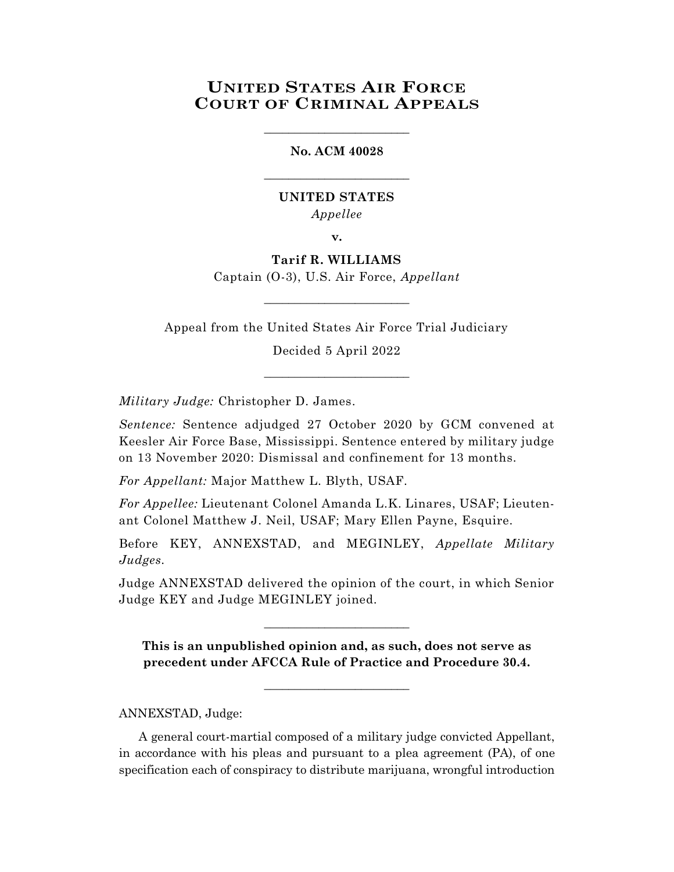# **UNITED STATES AIR FORCE COURT OF CRIMINAL APPEALS**

## **No. ACM 40028**

\_\_\_\_\_\_\_\_\_\_\_\_\_\_\_\_\_\_\_\_\_\_\_\_

\_\_\_\_\_\_\_\_\_\_\_\_\_\_\_\_\_\_\_\_\_\_\_\_

## **UNITED STATES** *Appellee*

**v.**

**Tarif R. WILLIAMS** Captain (O-3), U.S. Air Force, *Appellant*

Appeal from the United States Air Force Trial Judiciary

\_\_\_\_\_\_\_\_\_\_\_\_\_\_\_\_\_\_\_\_\_\_\_\_

Decided 5 April 2022 \_\_\_\_\_\_\_\_\_\_\_\_\_\_\_\_\_\_\_\_\_\_\_\_

*Military Judge:* Christopher D. James.

*Sentence:* Sentence adjudged 27 October 2020 by GCM convened at Keesler Air Force Base, Mississippi. Sentence entered by military judge on 13 November 2020: Dismissal and confinement for 13 months.

*For Appellant:* Major Matthew L. Blyth, USAF.

*For Appellee:* Lieutenant Colonel Amanda L.K. Linares, USAF; Lieutenant Colonel Matthew J. Neil, USAF; Mary Ellen Payne, Esquire.

Before KEY, ANNEXSTAD, and MEGINLEY, *Appellate Military Judges.*

Judge ANNEXSTAD delivered the opinion of the court, in which Senior Judge KEY and Judge MEGINLEY joined.

\_\_\_\_\_\_\_\_\_\_\_\_\_\_\_\_\_\_\_\_\_\_\_\_

**This is an unpublished opinion and, as such, does not serve as precedent under AFCCA Rule of Practice and Procedure 30.4.**

 $\_$ 

## ANNEXSTAD, Judge:

A general court-martial composed of a military judge convicted Appellant, in accordance with his pleas and pursuant to a plea agreement (PA), of one specification each of conspiracy to distribute marijuana, wrongful introduction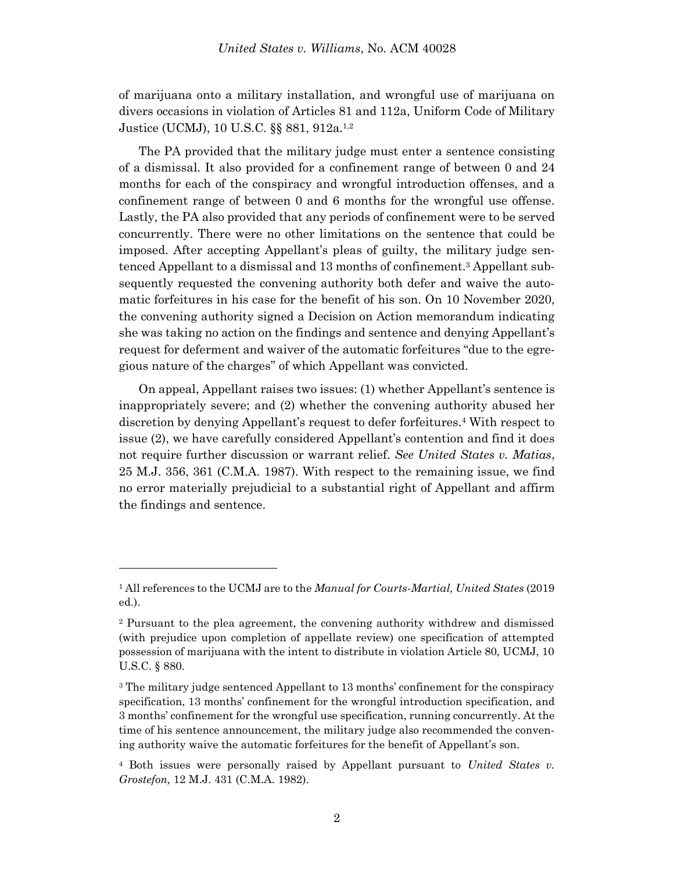of marijuana onto a military installation, and wrongful use of marijuana on divers occasions in violation of Articles 81 and 112a, Uniform Code of Military Justice (UCMJ), 10 U.S.C. §§ 881, 912a.<sup>1,2</sup>

The PA provided that the military judge must enter a sentence consisting of a dismissal. It also provided for a confinement range of between 0 and 24 months for each of the conspiracy and wrongful introduction offenses, and a confinement range of between 0 and 6 months for the wrongful use offense. Lastly, the PA also provided that any periods of confinement were to be served concurrently. There were no other limitations on the sentence that could be imposed. After accepting Appellant's pleas of guilty, the military judge sentenced Appellant to a dismissal and 13 months of confinement. <sup>3</sup> Appellant subsequently requested the convening authority both defer and waive the automatic forfeitures in his case for the benefit of his son. On 10 November 2020, the convening authority signed a Decision on Action memorandum indicating she was taking no action on the findings and sentence and denying Appellant's request for deferment and waiver of the automatic forfeitures "due to the egregious nature of the charges" of which Appellant was convicted.

On appeal, Appellant raises two issues: (1) whether Appellant's sentence is inappropriately severe; and (2) whether the convening authority abused her discretion by denying Appellant's request to defer forfeitures. <sup>4</sup> With respect to issue (2), we have carefully considered Appellant's contention and find it does not require further discussion or warrant relief. *See United States v. Matias*, 25 M.J. 356, 361 (C.M.A. 1987). With respect to the remaining issue, we find no error materially prejudicial to a substantial right of Appellant and affirm the findings and sentence.

<sup>1</sup> All references to the UCMJ are to the *Manual for Courts-Martial, United States* (2019 ed.).

<sup>2</sup> Pursuant to the plea agreement, the convening authority withdrew and dismissed (with prejudice upon completion of appellate review) one specification of attempted possession of marijuana with the intent to distribute in violation Article 80, UCMJ, 10 U.S.C. § 880.

<sup>3</sup> The military judge sentenced Appellant to 13 months' confinement for the conspiracy specification, 13 months' confinement for the wrongful introduction specification, and 3 months' confinement for the wrongful use specification, running concurrently. At the time of his sentence announcement, the military judge also recommended the convening authority waive the automatic forfeitures for the benefit of Appellant's son.

<sup>4</sup> Both issues were personally raised by Appellant pursuant to *United States v. Grostefon,* 12 M.J. 431 (C.M.A. 1982).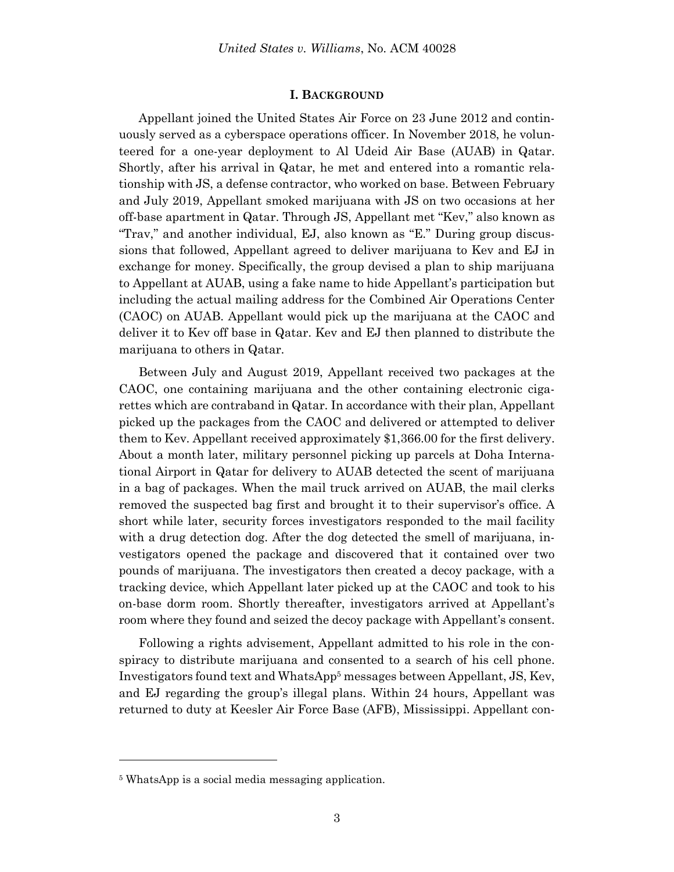#### **I. BACKGROUND**

Appellant joined the United States Air Force on 23 June 2012 and continuously served as a cyberspace operations officer. In November 2018, he volunteered for a one-year deployment to Al Udeid Air Base (AUAB) in Qatar. Shortly, after his arrival in Qatar, he met and entered into a romantic relationship with JS, a defense contractor, who worked on base. Between February and July 2019, Appellant smoked marijuana with JS on two occasions at her off-base apartment in Qatar. Through JS, Appellant met "Kev," also known as "Trav," and another individual, EJ, also known as "E." During group discussions that followed, Appellant agreed to deliver marijuana to Kev and EJ in exchange for money. Specifically, the group devised a plan to ship marijuana to Appellant at AUAB, using a fake name to hide Appellant's participation but including the actual mailing address for the Combined Air Operations Center (CAOC) on AUAB. Appellant would pick up the marijuana at the CAOC and deliver it to Kev off base in Qatar. Kev and EJ then planned to distribute the marijuana to others in Qatar.

Between July and August 2019, Appellant received two packages at the CAOC, one containing marijuana and the other containing electronic cigarettes which are contraband in Qatar. In accordance with their plan, Appellant picked up the packages from the CAOC and delivered or attempted to deliver them to Kev. Appellant received approximately \$1,366.00 for the first delivery. About a month later, military personnel picking up parcels at Doha International Airport in Qatar for delivery to AUAB detected the scent of marijuana in a bag of packages. When the mail truck arrived on AUAB, the mail clerks removed the suspected bag first and brought it to their supervisor's office. A short while later, security forces investigators responded to the mail facility with a drug detection dog. After the dog detected the smell of marijuana, investigators opened the package and discovered that it contained over two pounds of marijuana. The investigators then created a decoy package, with a tracking device, which Appellant later picked up at the CAOC and took to his on-base dorm room. Shortly thereafter, investigators arrived at Appellant's room where they found and seized the decoy package with Appellant's consent.

Following a rights advisement, Appellant admitted to his role in the conspiracy to distribute marijuana and consented to a search of his cell phone. Investigators found text and WhatsApp<sup>5</sup> messages between Appellant, JS, Kev, and EJ regarding the group's illegal plans. Within 24 hours, Appellant was returned to duty at Keesler Air Force Base (AFB), Mississippi. Appellant con-

l

<sup>5</sup> WhatsApp is a social media messaging application.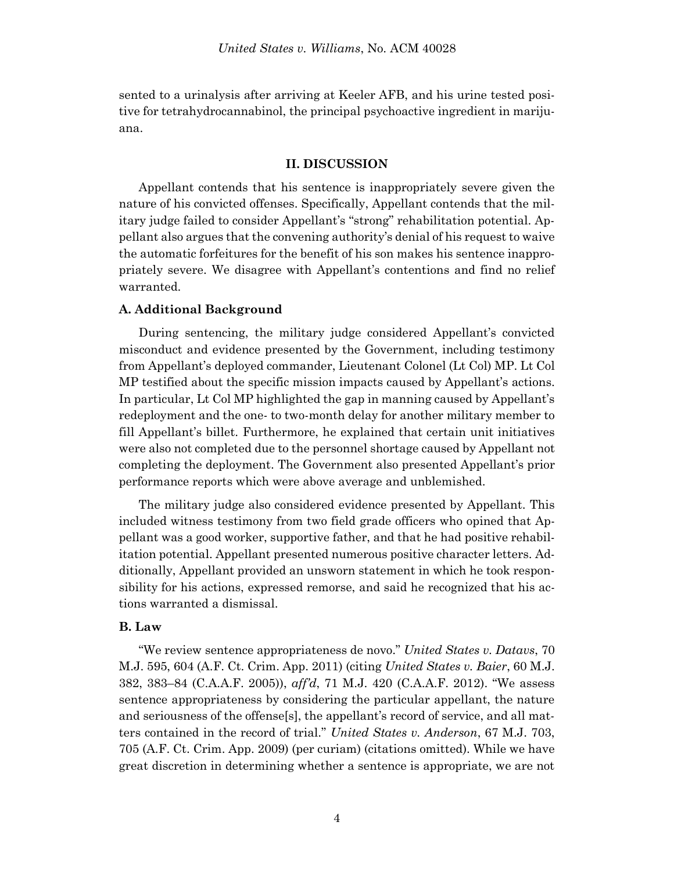sented to a urinalysis after arriving at Keeler AFB, and his urine tested positive for tetrahydrocannabinol, the principal psychoactive ingredient in marijuana.

## **II. DISCUSSION**

Appellant contends that his sentence is inappropriately severe given the nature of his convicted offenses. Specifically, Appellant contends that the military judge failed to consider Appellant's "strong" rehabilitation potential. Appellant also argues that the convening authority's denial of his request to waive the automatic forfeitures for the benefit of his son makes his sentence inappropriately severe. We disagree with Appellant's contentions and find no relief warranted.

## **A. Additional Background**

During sentencing, the military judge considered Appellant's convicted misconduct and evidence presented by the Government, including testimony from Appellant's deployed commander, Lieutenant Colonel (Lt Col) MP. Lt Col MP testified about the specific mission impacts caused by Appellant's actions. In particular, Lt Col MP highlighted the gap in manning caused by Appellant's redeployment and the one- to two-month delay for another military member to fill Appellant's billet. Furthermore, he explained that certain unit initiatives were also not completed due to the personnel shortage caused by Appellant not completing the deployment. The Government also presented Appellant's prior performance reports which were above average and unblemished.

The military judge also considered evidence presented by Appellant. This included witness testimony from two field grade officers who opined that Appellant was a good worker, supportive father, and that he had positive rehabilitation potential. Appellant presented numerous positive character letters. Additionally, Appellant provided an unsworn statement in which he took responsibility for his actions, expressed remorse, and said he recognized that his actions warranted a dismissal.

## **B. Law**

"We review sentence appropriateness de novo." *United States v. Datavs*, 70 M.J. 595, 604 (A.F. Ct. Crim. App. 2011) (citing *United States v. Baier*, 60 M.J. 382, 383–84 (C.A.A.F. 2005)), *aff'd*, 71 M.J. 420 (C.A.A.F. 2012). "We assess sentence appropriateness by considering the particular appellant, the nature and seriousness of the offense[s], the appellant's record of service, and all matters contained in the record of trial." *United States v. Anderson*, 67 M.J. 703, 705 (A.F. Ct. Crim. App. 2009) (per curiam) (citations omitted). While we have great discretion in determining whether a sentence is appropriate, we are not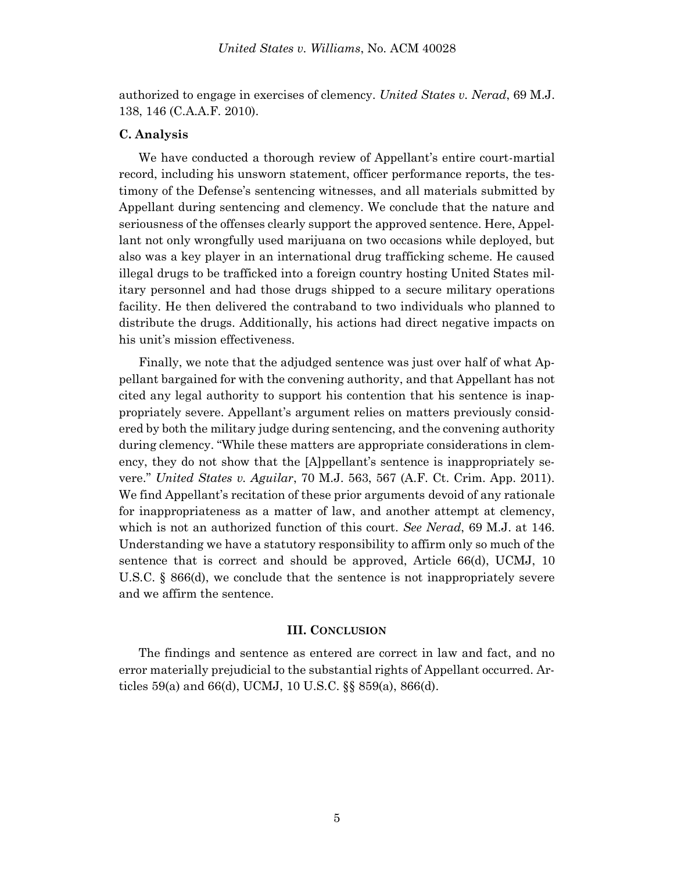authorized to engage in exercises of clemency. *United States v. Nerad*, 69 M.J. 138, 146 (C.A.A.F. 2010).

## **C. Analysis**

We have conducted a thorough review of Appellant's entire court-martial record, including his unsworn statement, officer performance reports, the testimony of the Defense's sentencing witnesses, and all materials submitted by Appellant during sentencing and clemency. We conclude that the nature and seriousness of the offenses clearly support the approved sentence. Here, Appellant not only wrongfully used marijuana on two occasions while deployed, but also was a key player in an international drug trafficking scheme. He caused illegal drugs to be trafficked into a foreign country hosting United States military personnel and had those drugs shipped to a secure military operations facility. He then delivered the contraband to two individuals who planned to distribute the drugs. Additionally, his actions had direct negative impacts on his unit's mission effectiveness.

Finally, we note that the adjudged sentence was just over half of what Appellant bargained for with the convening authority, and that Appellant has not cited any legal authority to support his contention that his sentence is inappropriately severe. Appellant's argument relies on matters previously considered by both the military judge during sentencing, and the convening authority during clemency. "While these matters are appropriate considerations in clemency, they do not show that the [A]ppellant's sentence is inappropriately severe." *United States v. Aguilar*, 70 M.J. 563, 567 (A.F. Ct. Crim. App. 2011). We find Appellant's recitation of these prior arguments devoid of any rationale for inappropriateness as a matter of law, and another attempt at clemency, which is not an authorized function of this court. *See Nerad*, 69 M.J. at 146. Understanding we have a statutory responsibility to affirm only so much of the sentence that is correct and should be approved, Article 66(d), UCMJ, 10 U.S.C. § 866(d), we conclude that the sentence is not inappropriately severe and we affirm the sentence.

#### **III. CONCLUSION**

The findings and sentence as entered are correct in law and fact, and no error materially prejudicial to the substantial rights of Appellant occurred. Articles 59(a) and 66(d), UCMJ, 10 U.S.C. §§ 859(a), 866(d).